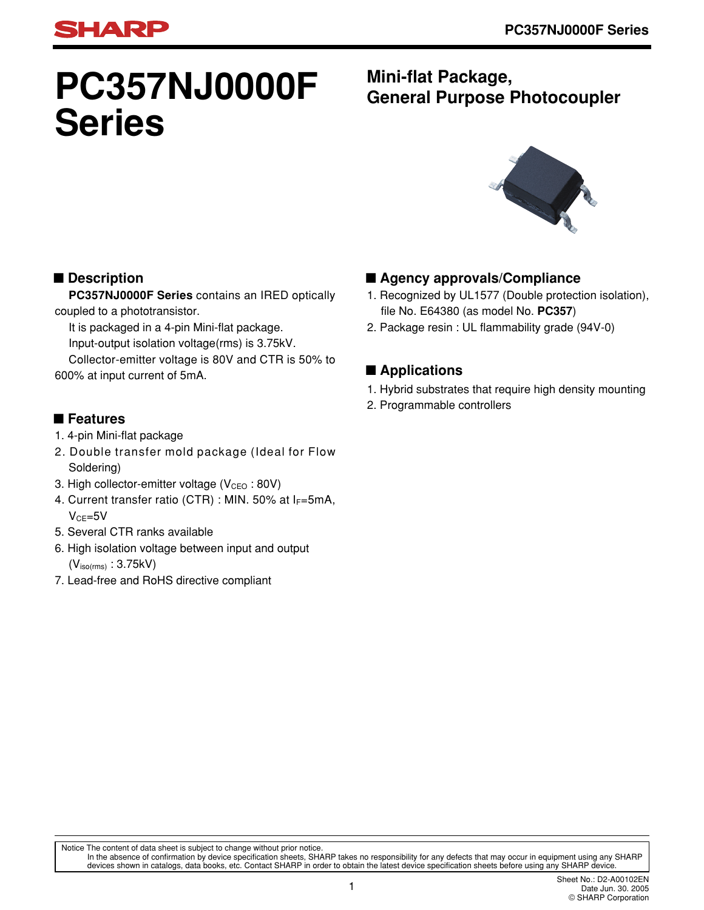# **PC357NJ0000F Series**

### **Mini-flat Package, General Purpose Photocoupler**



### ■ **Description**

**HARP** 

**PC357NJ0000F Series** contains an IRED optically coupled to a phototransistor.

It is packaged in a 4-pin Mini-flat package.

Input-output isolation voltage(rms) is 3.75kV.

Collector-emitter voltage is 80V and CTR is 50% to 600% at input current of 5mA.

### ■ **Features**

- 1. 4-pin Mini-flat package
- 2. Double transfer mold package (Ideal for Flow Soldering)
- 3. High collector-emitter voltage  $(V_{\text{CEO}}:80V)$
- 4. Current transfer ratio (CTR) : MIN. 50% at  $I_F=5mA$ ,  $V_{CF} = 5V$
- 5. Several CTR ranks available
- 6. High isolation voltage between input and output  $(V<sub>iso(rms)</sub> : 3.75kV)$
- 7. Lead-free and RoHS directive compliant

### ■ **Agency approvals/Compliance**

- 1. Recognized by UL1577 (Double protection isolation), file No. E64380 (as model No. **PC357**)
- 2. Package resin : UL flammability grade (94V-0)

### ■ **Applications**

- 1. Hybrid substrates that require high density mounting
- 2. Programmable controllers

Notice The content of data sheet is subject to change without prior notice.

In the absence of confirmation by device specification sheets, SHARP takes no responsibility for any defects that may occur in equipment using any SHARP<br>devices shown in catalogs, data books, etc. Contact SHARP in order to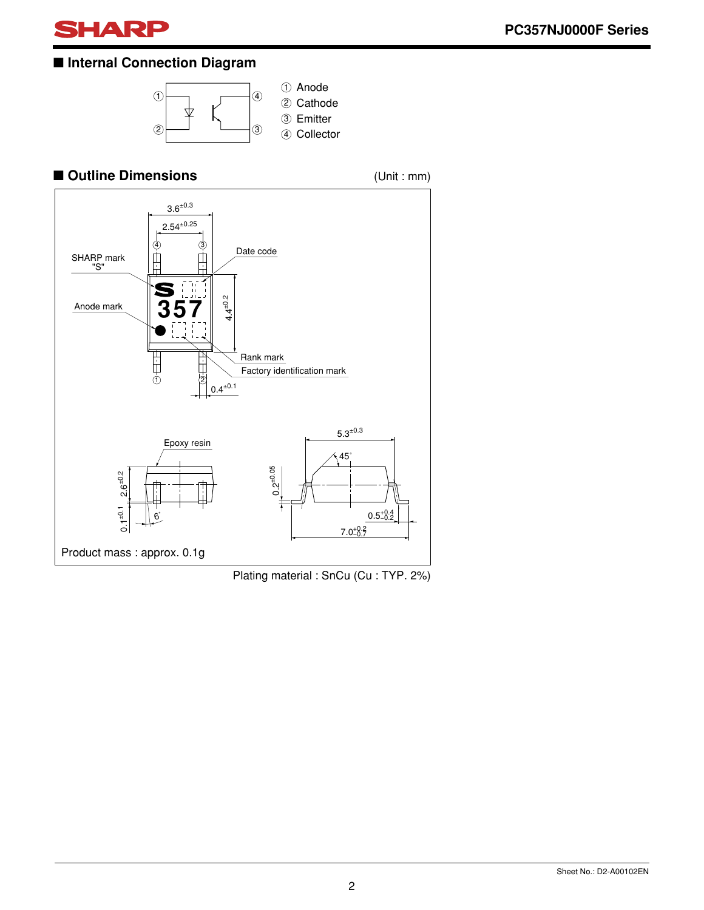

### ■ **Internal Connection Diagram**



### ■ **Outline Dimensions** (Unit : mm)



Plating material : SnCu (Cu : TYP. 2%)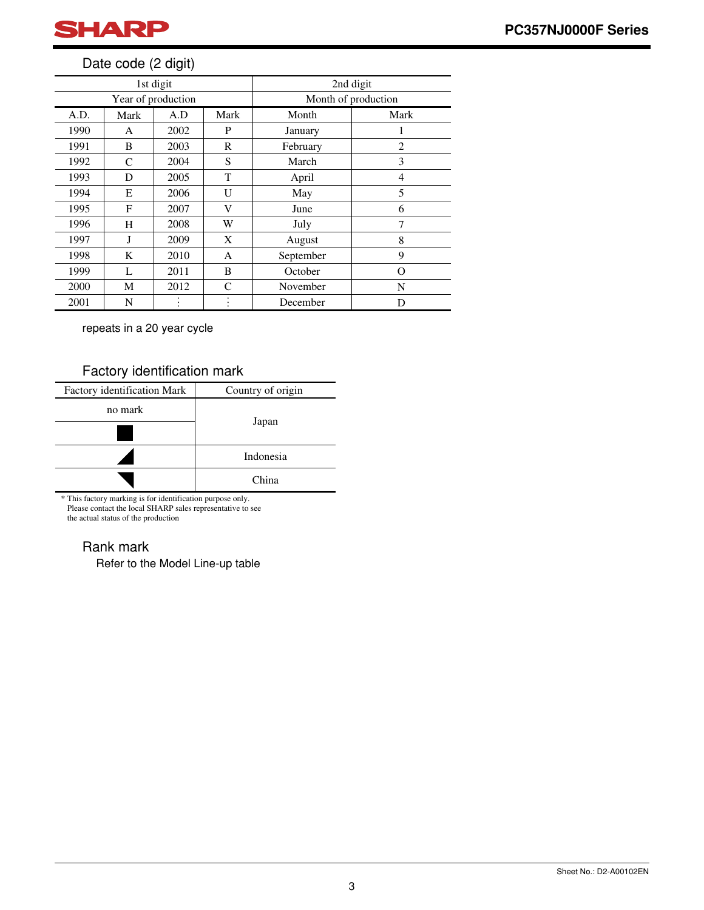

### Date code (2 digit)

| 1st digit          |      |      |               | 2nd digit           |                |  |
|--------------------|------|------|---------------|---------------------|----------------|--|
| Year of production |      |      |               | Month of production |                |  |
| A.D.               | Mark | A.D  | Mark          | Month               | Mark           |  |
| 1990               | A    | 2002 | P             | January             | 1              |  |
| 1991               | B    | 2003 | R             | February            | $\overline{c}$ |  |
| 1992               | C    | 2004 | S             | March               | 3              |  |
| 1993               | D    | 2005 | T             | April               | 4              |  |
| 1994               | E    | 2006 | U             | May                 | 5              |  |
| 1995               | F    | 2007 | V             | June                | 6              |  |
| 1996               | H    | 2008 | W             | July                | 7              |  |
| 1997               | J    | 2009 | X             | August              | 8              |  |
| 1998               | K    | 2010 | A             | September           | 9              |  |
| 1999               | L    | 2011 | B             | October             | O              |  |
| 2000               | М    | 2012 | $\mathcal{C}$ | November            | N              |  |
| 2001               | N    |      |               | December            | D              |  |

repeats in a 20 year cycle

### Factory identification mark

| Factory identification Mark | Country of origin |  |  |
|-----------------------------|-------------------|--|--|
| no mark                     |                   |  |  |
|                             | Japan             |  |  |
|                             | Indonesia         |  |  |
|                             | China             |  |  |

\* This factory marking is for identification purpose only. Please contact the local SHARP sales representative to see the actual status of the production

### Rank mark

Refer to the Model Line-up table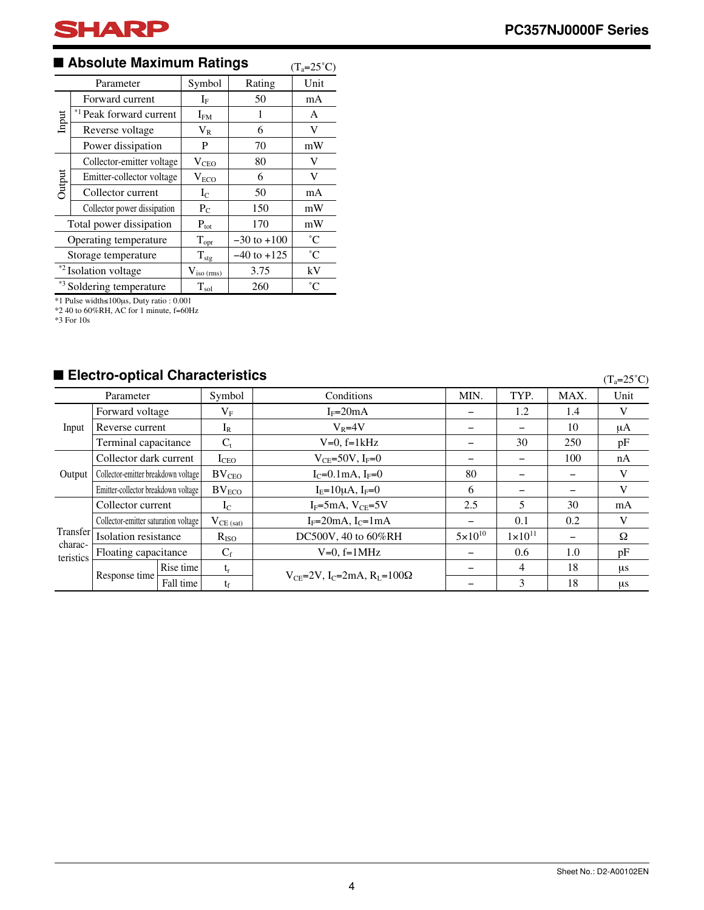### ■ Absolute Maximum Ratings (T<sub>a=25</sub>°C)

|                                  | Parameter                           | Symbol                    | Rating          | Unit        |
|----------------------------------|-------------------------------------|---------------------------|-----------------|-------------|
|                                  | Forward current                     | ${\rm I}_{{\rm F}}$       | 50              | mA          |
| Input                            | * <sup>1</sup> Peak forward current | $I_{FM}$                  | 1               | A           |
|                                  | Reverse voltage                     | $V_{R}$                   | 6               | V           |
|                                  | Power dissipation                   | P                         | 70              | mW          |
|                                  | Collector-emitter voltage           | $V_{\rm CEO}$             | 80              | V           |
| Output                           | Emitter-collector voltage           | $V_{ECO}$                 | 6               | V           |
|                                  | Collector current                   | $I_{C}$                   | 50              | mA          |
|                                  | Collector power dissipation         | $P_{C}$                   | 150             | mW          |
| Total power dissipation          |                                     | $\mathbf{P}_{\text{tot}}$ | 170             | mW          |
|                                  | Operating temperature               | $T_{\rm opr}$             | $-30$ to $+100$ | $^{\circ}C$ |
|                                  | Storage temperature                 | $T_{\rm stg}$             | $-40$ to $+125$ | $^{\circ}C$ |
| * <sup>2</sup> Isolation voltage |                                     | $V_{iso (rms)}$           | 3.75            | kV          |
| *3 Soldering temperature         |                                     | $T_{sol}$                 | 260             | $^{\circ}C$ |

\*1 Pulse width≤100µs, Duty ratio : 0.001

\*2 40 to 60%RH, AC for 1 minute, f=60Hz \*3 For 10s

### ■ **Electro-optical Characteristics**

 $(T_a=25^{\circ}C)$ 

| Parameter                        |                                      | Symbol    | Conditions        | MIN.                                                            | TYP.               | MAX.               | Unit |         |
|----------------------------------|--------------------------------------|-----------|-------------------|-----------------------------------------------------------------|--------------------|--------------------|------|---------|
|                                  | Forward voltage                      |           | $\rm V_F$         | $I_F=20mA$                                                      | -                  | 1.2                | 1.4  | V       |
| Input                            | Reverse current                      |           | $I_R$             | $V_R = 4V$                                                      |                    |                    | 10   | μA      |
|                                  | Terminal capacitance                 |           | $C_t$             | $V=0$ , $f=1kHz$                                                |                    | 30                 | 250  | pF      |
| Output                           | Collector dark current               |           | I <sub>CEO</sub>  | $V_{CF}$ =50V, I <sub>F</sub> =0                                |                    |                    | 100  | nA      |
|                                  | Collector-emitter breakdown voltage  |           | BV <sub>CEO</sub> | $I_C = 0.1$ mA, $I_F = 0$                                       | 80                 |                    |      | V       |
|                                  | Emitter-collector breakdown voltage  |           | $BV_{ECO}$        | $I_{E} = 10\mu A, I_{F} = 0$                                    | 6                  |                    |      | V       |
|                                  | Collector current                    |           | $I_{C}$           | $I_F = 5mA$ , $V_{CE} = 5V$                                     | 2.5                | 5                  | 30   | mA      |
| Transfer<br>charac-<br>teristics | Collector-emitter saturation voltage |           | $V_{CE (sat)}$    | $I_F=20mA$ , $I_C=1mA$                                          |                    | 0.1                | 0.2  | V       |
|                                  | Isolation resistance                 |           | $R_{ISO}$         | DC500V, 40 to 60%RH                                             | $5 \times 10^{10}$ | $1 \times 10^{11}$ |      | Ω       |
|                                  | Floating capacitance                 |           | $C_f$             | $V=0$ , $f=1$ MHz                                               |                    | 0.6                | 1.0  | pF      |
|                                  | Response time                        | Rise time | $t_r$             | $V_{CF}$ =2V, I <sub>C</sub> =2mA, R <sub>I</sub> =100 $\Omega$ |                    | $\overline{4}$     | 18   | μs      |
|                                  |                                      | Fall time | $t_{\rm f}$       |                                                                 |                    | 3                  | 18   | $\mu$ s |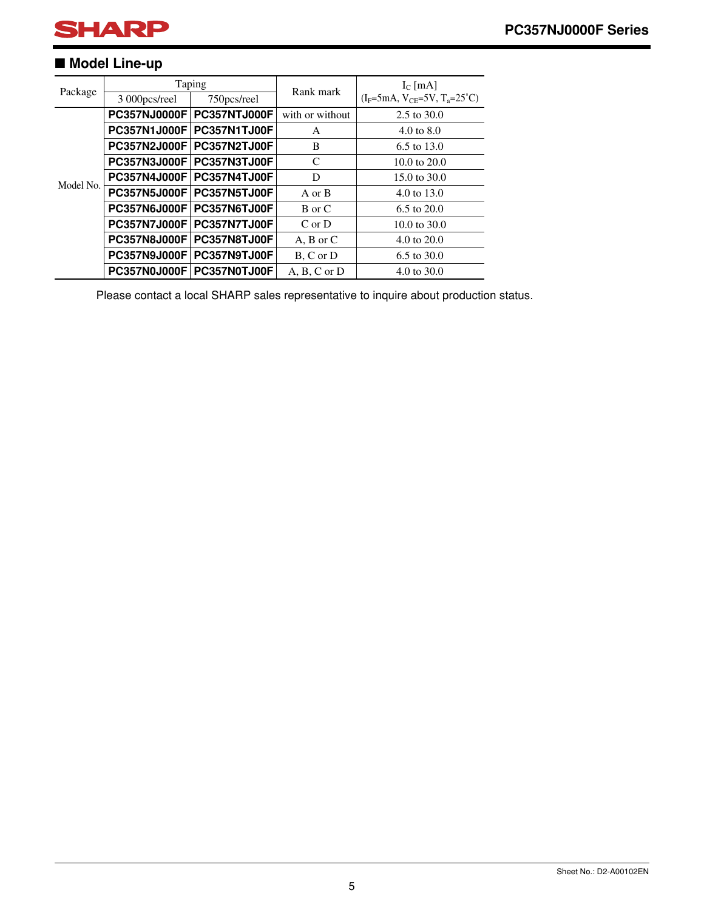### ■ **Model Line-up**

| Package   |                     | Taping       | Rank mark        | $IC$ [mA]                               |
|-----------|---------------------|--------------|------------------|-----------------------------------------|
|           | 3 000pcs/reel       | 750pcs/reel  |                  | $(I_F=5mA, V_{CE}=5V, T_a=25^{\circ}C)$ |
|           | PC357NJ0000F        | PC357NTJ000F | with or without  | 2.5 to 30.0                             |
|           | PC357N1J000F        | PC357N1TJ00F | A                | 4.0 to $8.0$                            |
|           | <b>PC357N2J000F</b> | PC357N2TJ00F | B                | 6.5 to 13.0                             |
|           | <b>PC357N3J000F</b> | PC357N3TJ00F | C                | 10.0 to $20.0$                          |
| Model No. | <b>PC357N4J000F</b> | PC357N4TJ00F | D                | $15.0 \text{ to } 30.0$                 |
|           | PC357N5J000F        | PC357N5TJ00F | A or B           | 4.0 to 13.0                             |
|           | <b>PC357N6J000F</b> | PC357N6TJ00F | B or C           | 6.5 to 20.0                             |
|           | <b>PC357N7J000F</b> | PC357N7TJ00F | $C$ or $D$       | 10.0 to $30.0$                          |
|           | <b>PC357N8J000F</b> | PC357N8TJ00F | $A, B$ or $C$    | 4.0 to 20.0                             |
|           | PC357N9J000F        | PC357N9TJ00F | B, C or D        | 6.5 to 30.0                             |
|           | <b>PC357N0J000F</b> | PC357N0TJ00F | $A, B, C$ or $D$ | 4.0 to 30.0                             |

Please contact a local SHARP sales representative to inquire about production status.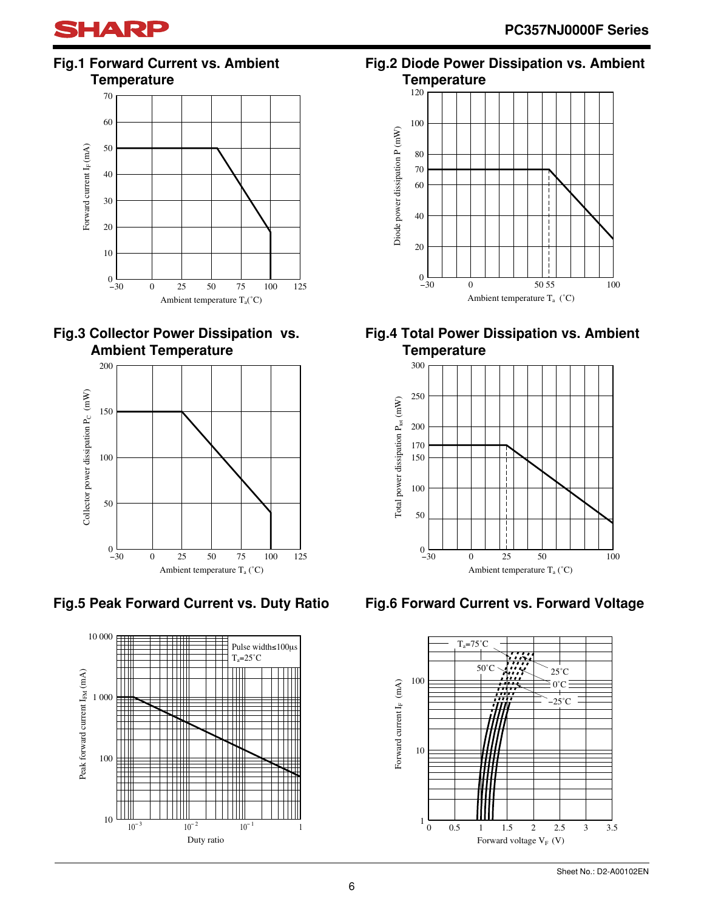**Fig.1 Forward Current vs. Ambient Temperature**







**Fig.5 Peak Forward Current vs. Duty Ratio**



### **Fig.2 Diode Power Dissipation vs. Ambient Temperature**



### **Fig.4 Total Power Dissipation vs. Ambient Temperature**



### **Fig.6 Forward Current vs. Forward Voltage**

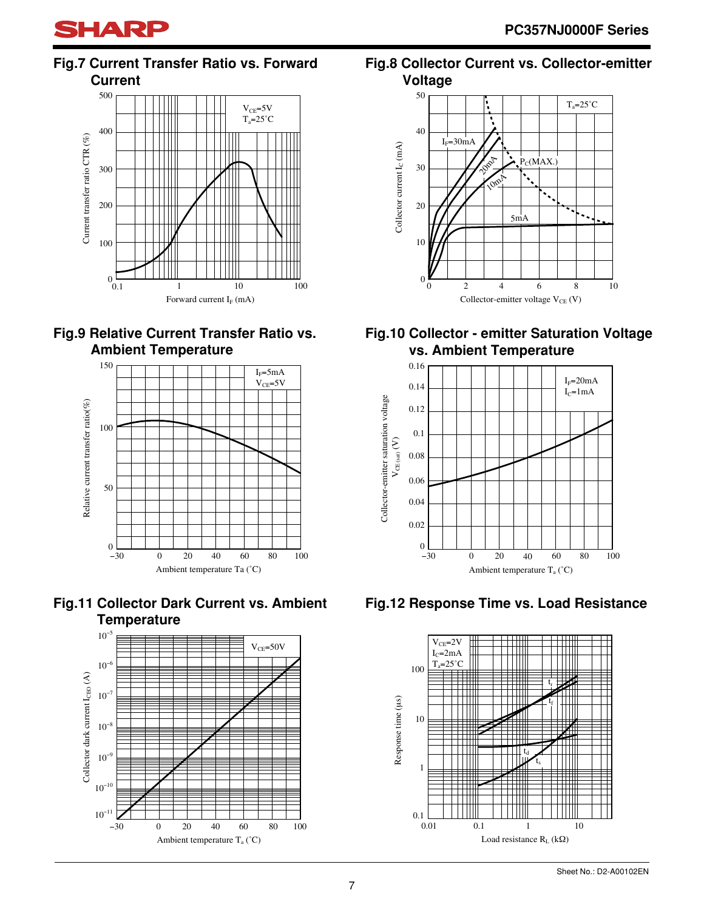

### **Fig.7 Current Transfer Ratio vs. Forward Current**



### **Fig.9 Relative Current Transfer Ratio vs. Ambient Temperature**







### **Fig.8 Collector Current vs. Collector-emitter Voltage**



### **Fig.10 Collector - emitter Saturation Voltage vs. Ambient Temperature**



### **Fig.12 Response Time vs. Load Resistance**

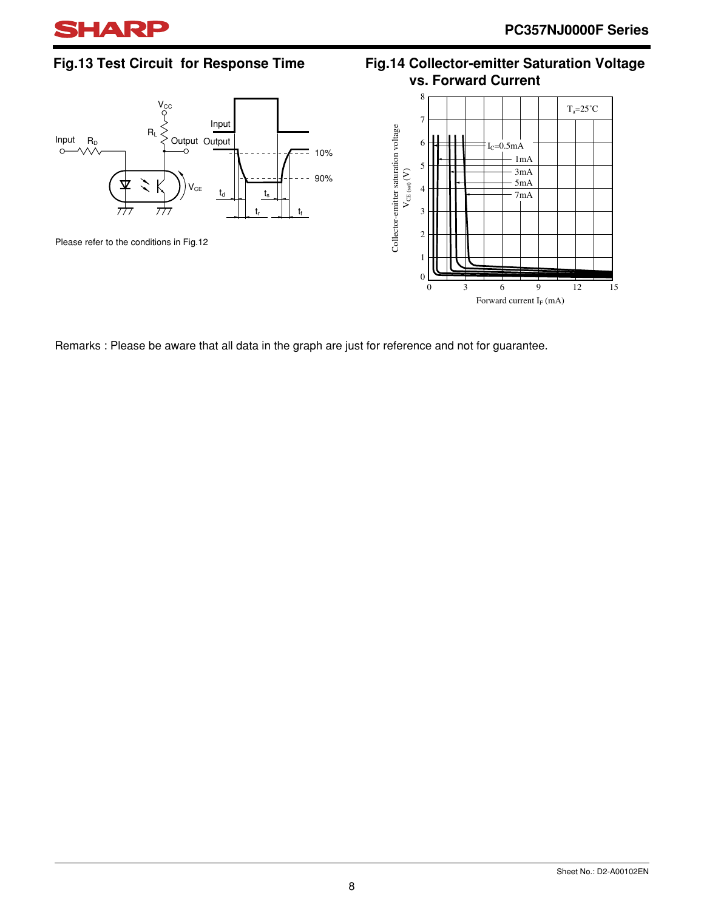

### **Fig.13 Test Circuit for Response Time**



### **Fig.14 Collector-emitter Saturation Voltage vs. Forward Current**



Remarks : Please be aware that all data in the graph are just for reference and not for guarantee.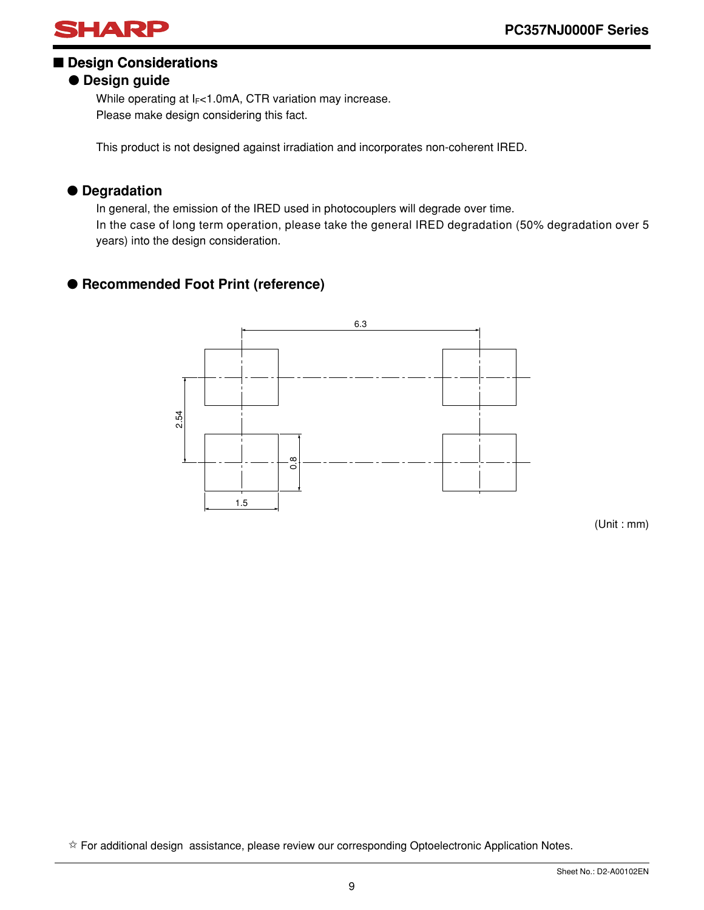

### ■ **Design Considerations**

### ● **Design guide**

While operating at  $I_F$ <1.0mA, CTR variation may increase. Please make design considering this fact.

This product is not designed against irradiation and incorporates non-coherent IRED.

### ● **Degradation**

In general, the emission of the IRED used in photocouplers will degrade over time. In the case of long term operation, please take the general IRED degradation (50% degradation over 5 years) into the design consideration.

### ● **Recommended Foot Print (reference)**



(Unit : mm)

✩ For additional design assistance, please review our corresponding Optoelectronic Application Notes.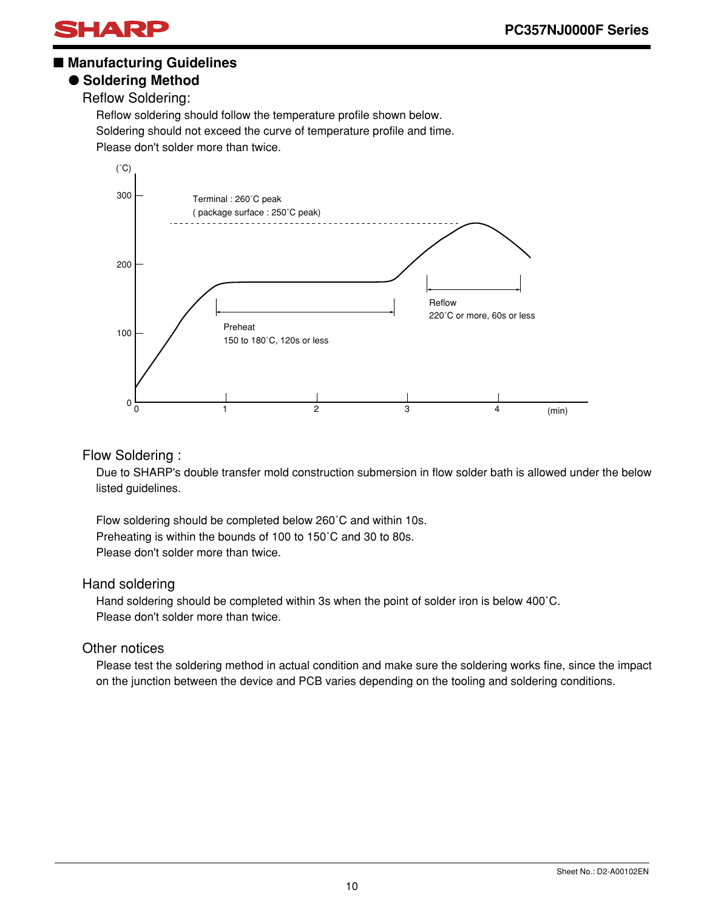

### ■ Manufacturing Guidelines

### ● **Soldering Method**

Reflow Soldering:

Reflow soldering should follow the temperature profile shown below. Soldering should not exceed the curve of temperature profile and time. Please don't solder more than twice.



#### Flow Soldering :

Due to SHARP's double transfer mold construction submersion in flow solder bath is allowed under the below listed guidelines.

Flow soldering should be completed below 260˚C and within 10s. Preheating is within the bounds of 100 to 150˚C and 30 to 80s. Please don't solder more than twice.

#### Hand soldering

Hand soldering should be completed within 3s when the point of solder iron is below 400˚C. Please don't solder more than twice.

#### Other notices

Please test the soldering method in actual condition and make sure the soldering works fine, since the impact on the junction between the device and PCB varies depending on the tooling and soldering conditions.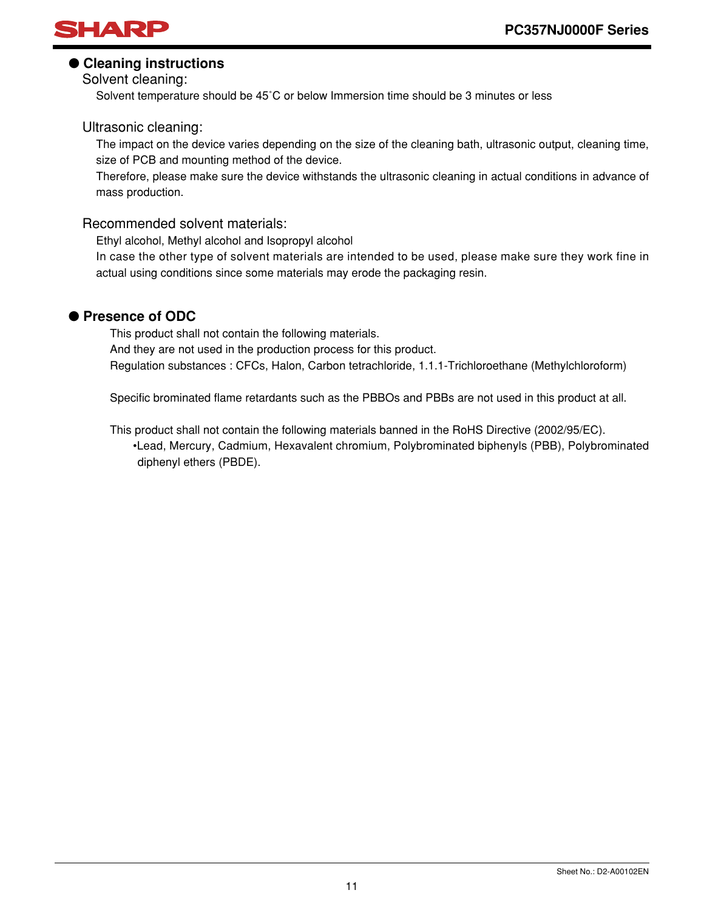

### ● **Cleaning instructions**

Solvent cleaning:

Solvent temperature should be 45˚C or below Immersion time should be 3 minutes or less

#### Ultrasonic cleaning:

The impact on the device varies depending on the size of the cleaning bath, ultrasonic output, cleaning time, size of PCB and mounting method of the device.

Therefore, please make sure the device withstands the ultrasonic cleaning in actual conditions in advance of mass production.

### Recommended solvent materials:

Ethyl alcohol, Methyl alcohol and Isopropyl alcohol

In case the other type of solvent materials are intended to be used, please make sure they work fine in actual using conditions since some materials may erode the packaging resin.

### ● **Presence of ODC**

This product shall not contain the following materials. And they are not used in the production process for this product. Regulation substances : CFCs, Halon, Carbon tetrachloride, 1.1.1-Trichloroethane (Methylchloroform)

Specific brominated flame retardants such as the PBBOs and PBBs are not used in this product at all.

This product shall not contain the following materials banned in the RoHS Directive (2002/95/EC). •Lead, Mercury, Cadmium, Hexavalent chromium, Polybrominated biphenyls (PBB), Polybrominated diphenyl ethers (PBDE).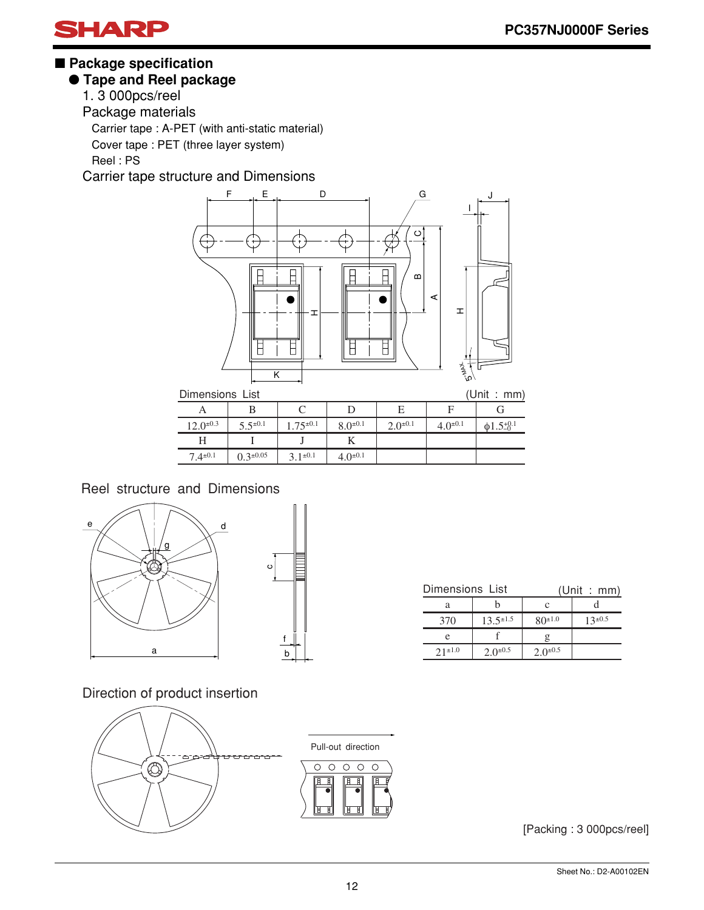

### ■ **Package specification**

### ● **Tape and Reel package**

1. 3 000pcs/reel

Package materials

Carrier tape : A-PET (with anti-static material)

Cover tape : PET (three layer system)

Reel : PS

Carrier tape structure and Dimensions



 $12.0^{\pm 0.3}$  $5.5^{\pm0.1}$ 1.75<sup>±</sup>0.1  $8.0^{\pm0.1}$  $2.0^{\pm 0.1}$  $\,$  H  $7.4^{\pm0.1}$ I  $0.3^{\pm 0.05}$ J  $3.1^{\pm0.1}$ K  $4.0^{\pm0.1}$  $4.0^{\pm0.1}$  $\phi$ 1.5+ $0^{.1}$ 

Reel structure and Dimensions



| $\circ$     |   |  |
|-------------|---|--|
| f<br>1<br>b | I |  |

| Dimensions List |                  | (Unit : mm)     |                |  |
|-----------------|------------------|-----------------|----------------|--|
| а               |                  | c               |                |  |
| 370             | $13.5^{\pm 1.5}$ |                 | $13^{\pm 0.5}$ |  |
| e               |                  |                 |                |  |
| $2.1 \pm 1.0$   | $2.0^{\pm 0.5}$  | $2.0^{\pm 0.5}$ |                |  |

Direction of product insertion



[Packing : 3 000pcs/reel]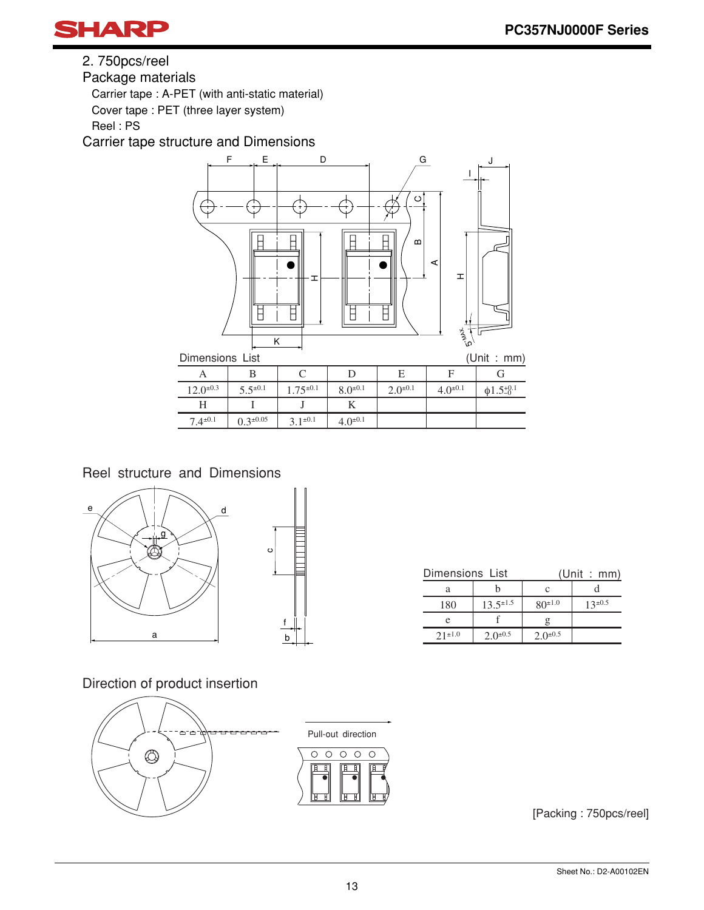

2. 750pcs/reel

Package materials

Carrier tape : A-PET (with anti-static material)

Cover tape : PET (three layer system)

Reel : PS

Carrier tape structure and Dimensions



Reel structure and Dimensions



|  | Dimensions List              |                 | (Unit : mm)     |                |  |
|--|------------------------------|-----------------|-----------------|----------------|--|
|  | а                            |                 |                 |                |  |
|  | $13.5^{\pm 1.5}$<br>180<br>e |                 | $80^{\pm 1.0}$  | $13^{\pm 0.5}$ |  |
|  |                              |                 |                 |                |  |
|  | $21^{\pm1.0}$                | $2.0^{\pm 0.5}$ | $2.0^{\pm 0.5}$ |                |  |

Direction of product insertion



[Packing : 750pcs/reel]